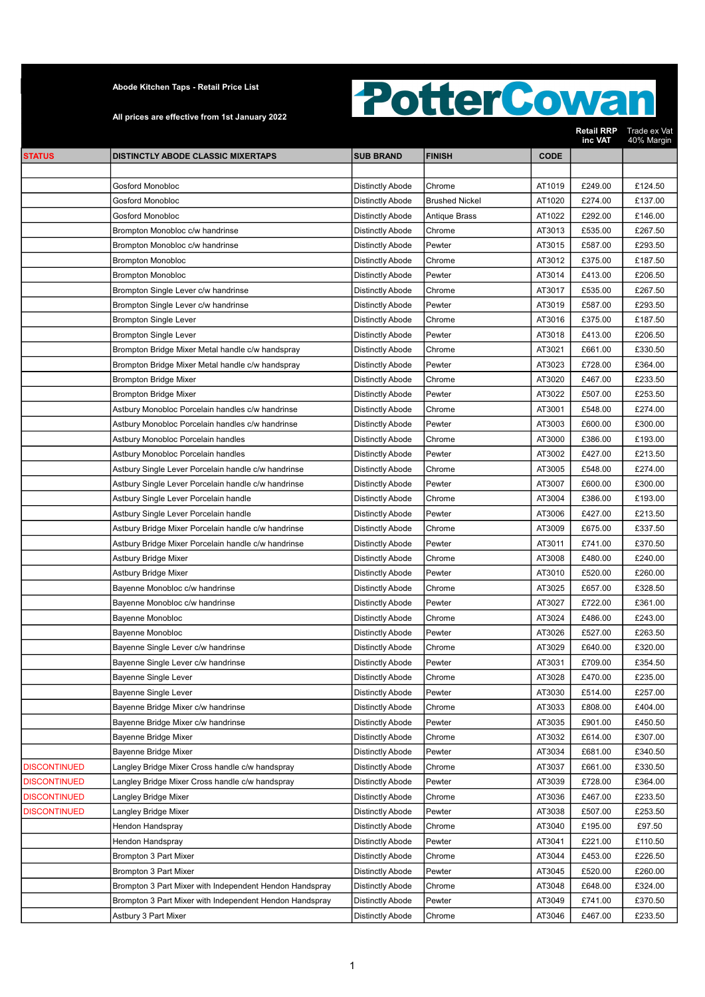All prices are effective from 1st January 2022

|                     |                                                         |                         |                       |             | Retail RRP<br>inc VAT | Trade ex Vat<br>40% Margin |
|---------------------|---------------------------------------------------------|-------------------------|-----------------------|-------------|-----------------------|----------------------------|
| <b>STATUS</b>       | <b>DISTINCTLY ABODE CLASSIC MIXERTAPS</b>               | <b>SUB BRAND</b>        | <b>FINISH</b>         | <b>CODE</b> |                       |                            |
|                     |                                                         |                         |                       |             |                       |                            |
|                     | Gosford Monobloc                                        | Distinctly Abode        | Chrome                | AT1019      | £249.00               | £124.50                    |
|                     | <b>Gosford Monobloc</b>                                 | Distinctly Abode        | <b>Brushed Nickel</b> | AT1020      | £274.00               | £137.00                    |
|                     | Gosford Monobloc                                        | Distinctly Abode        | Antique Brass         | AT1022      | £292.00               | £146.00                    |
|                     | Brompton Monobloc c/w handrinse                         | <b>Distinctly Abode</b> | Chrome                | AT3013      | £535.00               | £267.50                    |
|                     | Brompton Monobloc c/w handrinse                         | Distinctly Abode        | Pewter                | AT3015      | £587.00               | £293.50                    |
|                     | <b>Brompton Monobloc</b>                                | Distinctly Abode        | Chrome                | AT3012      | £375.00               | £187.50                    |
|                     | <b>Brompton Monobloc</b>                                | Distinctly Abode        | Pewter                | AT3014      | £413.00               | £206.50                    |
|                     | Brompton Single Lever c/w handrinse                     | <b>Distinctly Abode</b> | Chrome                | AT3017      | £535.00               | £267.50                    |
|                     | Brompton Single Lever c/w handrinse                     | Distinctly Abode        | Pewter                | AT3019      | £587.00               | £293.50                    |
|                     | <b>Brompton Single Lever</b>                            | Distinctly Abode        | Chrome                | AT3016      | £375.00               | £187.50                    |
|                     | <b>Brompton Single Lever</b>                            | Distinctly Abode        | Pewter                | AT3018      | £413.00               | £206.50                    |
|                     | Brompton Bridge Mixer Metal handle c/w handspray        | <b>Distinctly Abode</b> | Chrome                | AT3021      | £661.00               | £330.50                    |
|                     | Brompton Bridge Mixer Metal handle c/w handspray        | <b>Distinctly Abode</b> | Pewter                | AT3023      | £728.00               | £364.00                    |
|                     | Brompton Bridge Mixer                                   | <b>Distinctly Abode</b> | Chrome                | AT3020      | £467.00               | £233.50                    |
|                     | Brompton Bridge Mixer                                   | <b>Distinctly Abode</b> | Pewter                | AT3022      | £507.00               | £253.50                    |
|                     | Astbury Monobloc Porcelain handles c/w handrinse        | Distinctly Abode        | Chrome                | AT3001      | £548.00               | £274.00                    |
|                     | Astbury Monobloc Porcelain handles c/w handrinse        | <b>Distinctly Abode</b> | Pewter                | AT3003      | £600.00               | £300.00                    |
|                     | Astbury Monobloc Porcelain handles                      | <b>Distinctly Abode</b> | Chrome                | AT3000      | £386.00               | £193.00                    |
|                     | Astbury Monobloc Porcelain handles                      | <b>Distinctly Abode</b> | Pewter                | AT3002      | £427.00               | £213.50                    |
|                     | Astbury Single Lever Porcelain handle c/w handrinse     | <b>Distinctly Abode</b> | Chrome                | AT3005      | £548.00               | £274.00                    |
|                     | Astbury Single Lever Porcelain handle c/w handrinse     | Distinctly Abode        | Pewter                | AT3007      | £600.00               | £300.00                    |
|                     | Astbury Single Lever Porcelain handle                   | Distinctly Abode        | Chrome                | AT3004      | £386.00               | £193.00                    |
|                     | Astbury Single Lever Porcelain handle                   | <b>Distinctly Abode</b> | Pewter                | AT3006      | £427.00               | £213.50                    |
|                     | Astbury Bridge Mixer Porcelain handle c/w handrinse     | Distinctly Abode        | Chrome                | AT3009      | £675.00               | £337.50                    |
|                     | Astbury Bridge Mixer Porcelain handle c/w handrinse     | <b>Distinctly Abode</b> | Pewter                | AT3011      | £741.00               | £370.50                    |
|                     | Astbury Bridge Mixer                                    | Distinctly Abode        | Chrome                | AT3008      | £480.00               | £240.00                    |
|                     | Astbury Bridge Mixer                                    | <b>Distinctly Abode</b> | Pewter                | AT3010      | £520.00               | £260.00                    |
|                     | Bayenne Monobloc c/w handrinse                          | <b>Distinctly Abode</b> | Chrome                | AT3025      | £657.00               | £328.50                    |
|                     | Bayenne Monobloc c/w handrinse                          | Distinctly Abode        | Pewter                | AT3027      | £722.00               | £361.00                    |
|                     | Bayenne Monobloc                                        | Distinctly Abode        | Chrome                | AT3024      | £486.00               | £243.00                    |
|                     | Bayenne Monobloc                                        | Distinctly Abode        | Pewter                | AT3026      | £527.00               | £263.50                    |
|                     | Bayenne Single Lever c/w handrinse                      | Distinctly Abode        | Chrome                | AT3029      | £640.00               | £320.00                    |
|                     | Bayenne Single Lever c/w handrinse                      | Distinctly Abode        | Pewter                | AT3031      | £709.00               | £354.50                    |
|                     | <b>Bayenne Single Lever</b>                             | <b>Distinctly Abode</b> | Chrome                | AT3028      | £470.00               | £235.00                    |
|                     | <b>Bayenne Single Lever</b>                             | <b>Distinctly Abode</b> | Pewter                | AT3030      | £514.00               | £257.00                    |
|                     | Bayenne Bridge Mixer c/w handrinse                      | <b>Distinctly Abode</b> | Chrome                | AT3033      | £808.00               | £404.00                    |
|                     | Bayenne Bridge Mixer c/w handrinse                      | <b>Distinctly Abode</b> | Pewter                | AT3035      | £901.00               | £450.50                    |
|                     | Bayenne Bridge Mixer                                    | <b>Distinctly Abode</b> | Chrome                | AT3032      | £614.00               | £307.00                    |
|                     | Bayenne Bridge Mixer                                    | Distinctly Abode        | Pewter                | AT3034      | £681.00               | £340.50                    |
| <b>DISCONTINUED</b> | Langley Bridge Mixer Cross handle c/w handspray         | <b>Distinctly Abode</b> | Chrome                | AT3037      | £661.00               | £330.50                    |
| <b>DISCONTINUED</b> | Langley Bridge Mixer Cross handle c/w handspray         | Distinctly Abode        | Pewter                | AT3039      | £728.00               | £364.00                    |
| <b>DISCONTINUED</b> | Langley Bridge Mixer                                    | Distinctly Abode        | Chrome                | AT3036      | £467.00               | £233.50                    |
| <b>DISCONTINUED</b> | Langley Bridge Mixer                                    | Distinctly Abode        | Pewter                | AT3038      | £507.00               | £253.50                    |
|                     | Hendon Handspray                                        | Distinctly Abode        | Chrome                | AT3040      | £195.00               | £97.50                     |
|                     | Hendon Handspray                                        | Distinctly Abode        | Pewter                | AT3041      | £221.00               | £110.50                    |
|                     | Brompton 3 Part Mixer                                   | <b>Distinctly Abode</b> | Chrome                | AT3044      | £453.00               | £226.50                    |
|                     | Brompton 3 Part Mixer                                   | <b>Distinctly Abode</b> | Pewter                | AT3045      | £520.00               | £260.00                    |
|                     | Brompton 3 Part Mixer with Independent Hendon Handspray | <b>Distinctly Abode</b> | Chrome                | AT3048      | £648.00               | £324.00                    |
|                     | Brompton 3 Part Mixer with Independent Hendon Handspray | <b>Distinctly Abode</b> | Pewter                | AT3049      | £741.00               | £370.50                    |
|                     | Astbury 3 Part Mixer                                    | Distinctly Abode        | Chrome                | AT3046      | £467.00               | £233.50                    |
|                     |                                                         |                         |                       |             |                       |                            |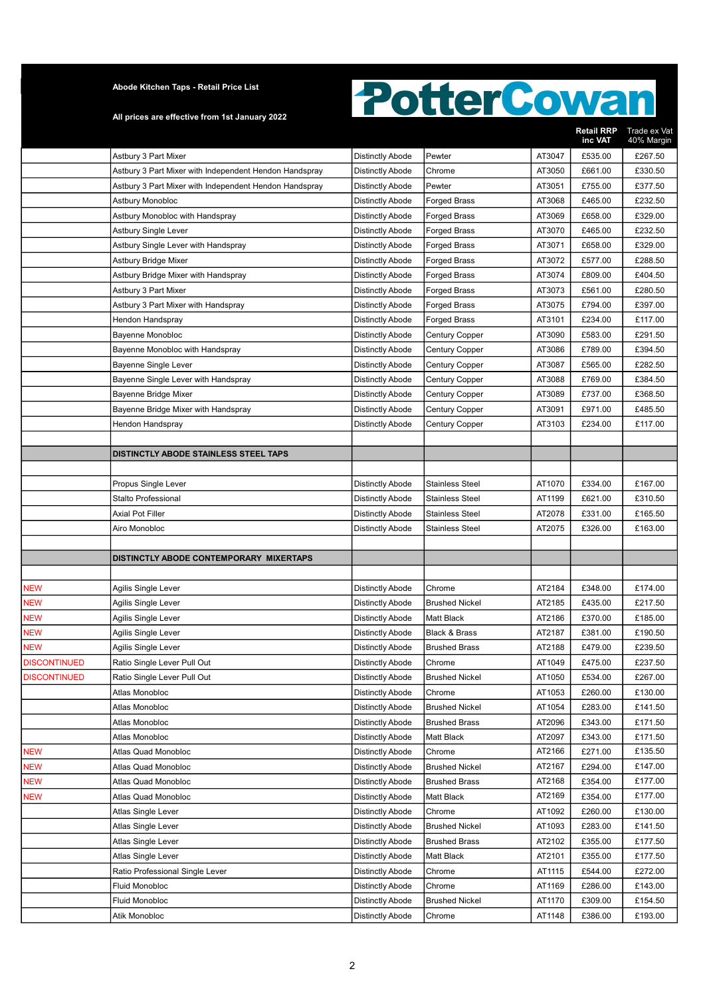All prices are effective from 1st January 2022

|                     |                                                        |                         |                        |        | <b>Retail RRP</b><br>inc VAT | Trade ex Vat<br>40% Margin |
|---------------------|--------------------------------------------------------|-------------------------|------------------------|--------|------------------------------|----------------------------|
|                     | Astbury 3 Part Mixer                                   | <b>Distinctly Abode</b> | Pewter                 | AT3047 | £535.00                      | £267.50                    |
|                     | Astbury 3 Part Mixer with Independent Hendon Handspray | Distinctly Abode        | Chrome                 | AT3050 | £661.00                      | £330.50                    |
|                     | Astbury 3 Part Mixer with Independent Hendon Handspray | Distinctly Abode        | Pewter                 | AT3051 | £755.00                      | £377.50                    |
|                     | Astbury Monobloc                                       | Distinctly Abode        | <b>Forged Brass</b>    | AT3068 | £465.00                      | £232.50                    |
|                     | Astbury Monobloc with Handspray                        | Distinctly Abode        | <b>Forged Brass</b>    | AT3069 | £658.00                      | £329.00                    |
|                     | <b>Astbury Single Lever</b>                            | <b>Distinctly Abode</b> | Forged Brass           | AT3070 | £465.00                      | £232.50                    |
|                     | Astbury Single Lever with Handspray                    | <b>Distinctly Abode</b> | Forged Brass           | AT3071 | £658.00                      | £329.00                    |
|                     | Astbury Bridge Mixer                                   | Distinctly Abode        | Forged Brass           | AT3072 | £577.00                      | £288.50                    |
|                     | Astbury Bridge Mixer with Handspray                    | <b>Distinctly Abode</b> | Forged Brass           | AT3074 | £809.00                      | £404.50                    |
|                     | Astbury 3 Part Mixer                                   | <b>Distinctly Abode</b> | <b>Forged Brass</b>    | AT3073 | £561.00                      | £280.50                    |
|                     | Astbury 3 Part Mixer with Handspray                    | Distinctly Abode        | Forged Brass           | AT3075 | £794.00                      | £397.00                    |
|                     | Hendon Handspray                                       | Distinctly Abode        | Forged Brass           | AT3101 | £234.00                      | £117.00                    |
|                     | Bayenne Monobloc                                       | Distinctly Abode        | Century Copper         | AT3090 | £583.00                      | £291.50                    |
|                     | Bayenne Monobloc with Handspray                        | Distinctly Abode        | Century Copper         | AT3086 | £789.00                      | £394.50                    |
|                     | <b>Bayenne Single Lever</b>                            | Distinctly Abode        | <b>Century Copper</b>  | AT3087 | £565.00                      | £282.50                    |
|                     | Bayenne Single Lever with Handspray                    | <b>Distinctly Abode</b> | <b>Century Copper</b>  | AT3088 | £769.00                      | £384.50                    |
|                     | Bayenne Bridge Mixer                                   | <b>Distinctly Abode</b> | <b>Century Copper</b>  | AT3089 | £737.00                      | £368.50                    |
|                     | Bayenne Bridge Mixer with Handspray                    | <b>Distinctly Abode</b> | Century Copper         | AT3091 | £971.00                      | £485.50                    |
|                     | Hendon Handspray                                       | <b>Distinctly Abode</b> | <b>Century Copper</b>  | AT3103 | £234.00                      | £117.00                    |
|                     |                                                        |                         |                        |        |                              |                            |
|                     | DISTINCTLY ABODE STAINLESS STEEL TAPS                  |                         |                        |        |                              |                            |
|                     |                                                        |                         |                        |        |                              |                            |
|                     | Propus Single Lever                                    | Distinctly Abode        | <b>Stainless Steel</b> | AT1070 | £334.00                      | £167.00                    |
|                     | Stalto Professional                                    | Distinctly Abode        | <b>Stainless Steel</b> | AT1199 | £621.00                      | £310.50                    |
|                     | Axial Pot Filler                                       | <b>Distinctly Abode</b> | <b>Stainless Steel</b> | AT2078 | £331.00                      | £165.50                    |
|                     | Airo Monobloc                                          | Distinctly Abode        | <b>Stainless Steel</b> | AT2075 | £326.00                      | £163.00                    |
|                     |                                                        |                         |                        |        |                              |                            |
|                     | DISTINCTLY ABODE CONTEMPORARY MIXERTAPS                |                         |                        |        |                              |                            |
|                     |                                                        |                         |                        |        |                              |                            |
| <b>NEW</b>          | Agilis Single Lever                                    | Distinctly Abode        | Chrome                 | AT2184 | £348.00                      | £174.00                    |
| <b>NEW</b>          | Agilis Single Lever                                    | <b>Distinctly Abode</b> | <b>Brushed Nickel</b>  | AT2185 | £435.00                      | £217.50                    |
| <b>NEW</b>          | Agilis Single Lever                                    | Distinctly Abode        | Matt Black             | AT2186 | £370.00                      | £185.00                    |
| <b>NEW</b>          | Agilis Single Lever                                    | Distinctly Abode        | Black & Brass          | AT2187 | £381.00                      | £190.50                    |
| <b>NEW</b>          | Agilis Single Lever                                    | Distinctly Abode        | <b>Brushed Brass</b>   | AT2188 | £479.00                      | £239.50                    |
| <b>DISCONTINUED</b> | Ratio Single Lever Pull Out                            | Distinctly Abode        | Chrome                 | AT1049 | £475.00                      | £237.50                    |
| <b>DISCONTINUED</b> | Ratio Single Lever Pull Out                            | Distinctly Abode        | <b>Brushed Nickel</b>  | AT1050 | £534.00                      | £267.00                    |
|                     | Atlas Monobloc                                         | <b>Distinctly Abode</b> | Chrome                 | AT1053 | £260.00                      | £130.00                    |
|                     | Atlas Monobloc                                         | <b>Distinctly Abode</b> | <b>Brushed Nickel</b>  | AT1054 | £283.00                      | £141.50                    |
|                     | Atlas Monobloc                                         | <b>Distinctly Abode</b> | <b>Brushed Brass</b>   | AT2096 | £343.00                      | £171.50                    |
|                     | Atlas Monobloc                                         | <b>Distinctly Abode</b> | Matt Black             | AT2097 | £343.00                      | £171.50                    |
| <b>NEW</b>          | Atlas Quad Monobloc                                    | Distinctly Abode        | Chrome                 | AT2166 | £271.00                      | £135.50                    |
| <b>NEW</b>          | Atlas Quad Monobloc                                    | Distinctly Abode        | <b>Brushed Nickel</b>  | AT2167 | £294.00                      | £147.00                    |
| <b>NEW</b>          | Atlas Quad Monobloc                                    | Distinctly Abode        | <b>Brushed Brass</b>   | AT2168 | £354.00                      | £177.00                    |
| <b>NEW</b>          | Atlas Quad Monobloc                                    | Distinctly Abode        | Matt Black             | AT2169 | £354.00                      | £177.00                    |
|                     | Atlas Single Lever                                     | Distinctly Abode        | Chrome                 | AT1092 | £260.00                      | £130.00                    |
|                     | Atlas Single Lever                                     | Distinctly Abode        | <b>Brushed Nickel</b>  | AT1093 | £283.00                      | £141.50                    |
|                     | Atlas Single Lever                                     | <b>Distinctly Abode</b> | <b>Brushed Brass</b>   | AT2102 | £355.00                      | £177.50                    |
|                     | Atlas Single Lever                                     | <b>Distinctly Abode</b> | Matt Black             | AT2101 | £355.00                      | £177.50                    |
|                     | Ratio Professional Single Lever                        | <b>Distinctly Abode</b> | Chrome                 | AT1115 | £544.00                      | £272.00                    |
|                     | Fluid Monobloc                                         | <b>Distinctly Abode</b> | Chrome                 | AT1169 | £286.00                      | £143.00                    |
|                     | Fluid Monobloc                                         | <b>Distinctly Abode</b> | <b>Brushed Nickel</b>  | AT1170 | £309.00                      | £154.50                    |
|                     | Atik Monobloc                                          | <b>Distinctly Abode</b> | Chrome                 | AT1148 | £386.00                      | £193.00                    |
|                     |                                                        |                         |                        |        |                              |                            |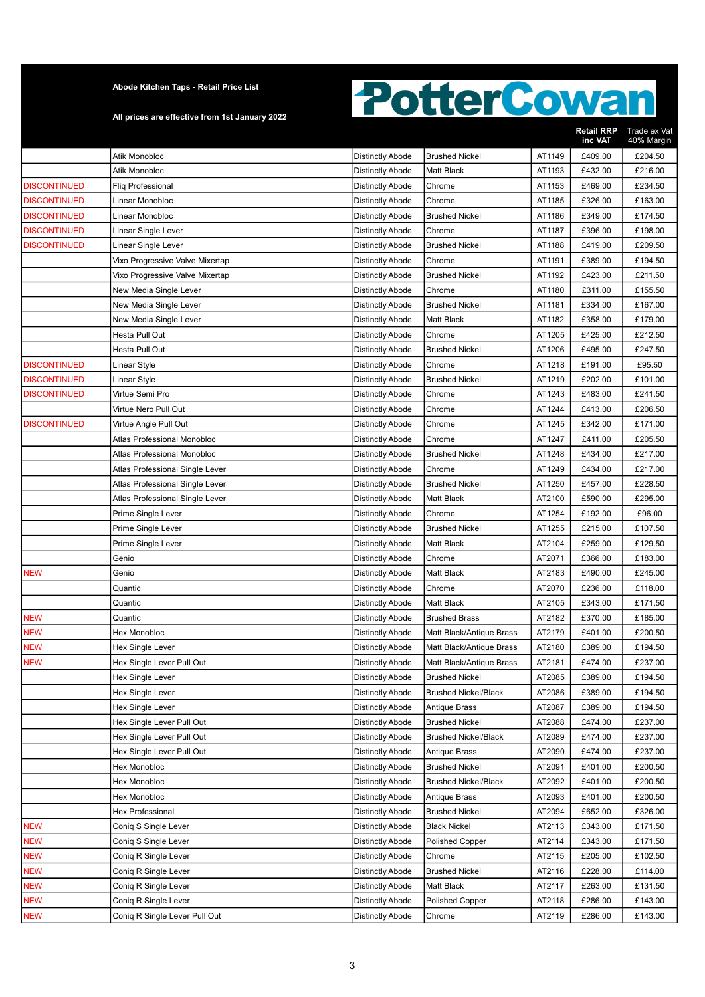#### All prices are effective from 1st January 2022

|                     |                                 |                         |                             |        | <b>Retail RRP</b><br>inc VAT | Trade ex Vat<br>40% Margin |
|---------------------|---------------------------------|-------------------------|-----------------------------|--------|------------------------------|----------------------------|
|                     | Atik Monobloc                   | <b>Distinctly Abode</b> | <b>Brushed Nickel</b>       | AT1149 | £409.00                      | £204.50                    |
|                     | Atik Monobloc                   | <b>Distinctly Abode</b> | Matt Black                  | AT1193 | £432.00                      | £216.00                    |
| <b>DISCONTINUED</b> | Fliq Professional               | <b>Distinctly Abode</b> | Chrome                      | AT1153 | £469.00                      | £234.50                    |
| <b>DISCONTINUED</b> | Linear Monobloc                 | <b>Distinctly Abode</b> | Chrome                      | AT1185 | £326.00                      | £163.00                    |
| <b>DISCONTINUED</b> | Linear Monobloc                 | <b>Distinctly Abode</b> | <b>Brushed Nickel</b>       | AT1186 | £349.00                      | £174.50                    |
| <b>DISCONTINUED</b> | Linear Single Lever             | <b>Distinctly Abode</b> | Chrome                      | AT1187 | £396.00                      | £198.00                    |
| <b>DISCONTINUED</b> | Linear Single Lever             | <b>Distinctly Abode</b> | <b>Brushed Nickel</b>       | AT1188 | £419.00                      | £209.50                    |
|                     | Vixo Progressive Valve Mixertap | <b>Distinctly Abode</b> | Chrome                      | AT1191 | £389.00                      | £194.50                    |
|                     | Vixo Progressive Valve Mixertap | <b>Distinctly Abode</b> | <b>Brushed Nickel</b>       | AT1192 | £423.00                      | £211.50                    |
|                     | New Media Single Lever          | <b>Distinctly Abode</b> | Chrome                      | AT1180 | £311.00                      | £155.50                    |
|                     | New Media Single Lever          | <b>Distinctly Abode</b> | <b>Brushed Nickel</b>       | AT1181 | £334.00                      | £167.00                    |
|                     | New Media Single Lever          | <b>Distinctly Abode</b> | Matt Black                  | AT1182 | £358.00                      | £179.00                    |
|                     | Hesta Pull Out                  | <b>Distinctly Abode</b> | Chrome                      | AT1205 | £425.00                      | £212.50                    |
|                     | Hesta Pull Out                  | <b>Distinctly Abode</b> | <b>Brushed Nickel</b>       | AT1206 | £495.00                      | £247.50                    |
| <b>DISCONTINUED</b> | Linear Style                    | <b>Distinctly Abode</b> | Chrome                      | AT1218 | £191.00                      | £95.50                     |
| <b>DISCONTINUED</b> | Linear Style                    | <b>Distinctly Abode</b> | <b>Brushed Nickel</b>       | AT1219 | £202.00                      | £101.00                    |
| <b>DISCONTINUED</b> | Virtue Semi Pro                 | <b>Distinctly Abode</b> | Chrome                      | AT1243 | £483.00                      | £241.50                    |
|                     | Virtue Nero Pull Out            | <b>Distinctly Abode</b> | Chrome                      | AT1244 | £413.00                      | £206.50                    |
| <b>DISCONTINUED</b> | Virtue Angle Pull Out           | <b>Distinctly Abode</b> | Chrome                      | AT1245 | £342.00                      | £171.00                    |
|                     | Atlas Professional Monobloc     | <b>Distinctly Abode</b> | Chrome                      | AT1247 | £411.00                      | £205.50                    |
|                     | Atlas Professional Monobloc     | Distinctly Abode        | <b>Brushed Nickel</b>       | AT1248 | £434.00                      | £217.00                    |
|                     | Atlas Professional Single Lever | <b>Distinctly Abode</b> | Chrome                      | AT1249 | £434.00                      | £217.00                    |
|                     | Atlas Professional Single Lever | <b>Distinctly Abode</b> | <b>Brushed Nickel</b>       | AT1250 | £457.00                      | £228.50                    |
|                     | Atlas Professional Single Lever | <b>Distinctly Abode</b> | <b>Matt Black</b>           | AT2100 | £590.00                      | £295.00                    |
|                     | Prime Single Lever              | <b>Distinctly Abode</b> | Chrome                      | AT1254 | £192.00                      | £96.00                     |
|                     | Prime Single Lever              | <b>Distinctly Abode</b> | <b>Brushed Nickel</b>       | AT1255 | £215.00                      | £107.50                    |
|                     | Prime Single Lever              | <b>Distinctly Abode</b> | Matt Black                  | AT2104 | £259.00                      | £129.50                    |
|                     | Genio                           | <b>Distinctly Abode</b> | Chrome                      | AT2071 | £366.00                      | £183.00                    |
| <b>NEW</b>          | Genio                           | <b>Distinctly Abode</b> | Matt Black                  | AT2183 | £490.00                      | £245.00                    |
|                     | Quantic                         | <b>Distinctly Abode</b> | Chrome                      | AT2070 | £236.00                      | £118.00                    |
|                     | Quantic                         | <b>Distinctly Abode</b> | Matt Black                  | AT2105 | £343.00                      | £171.50                    |
| <b>NEW</b>          | Quantic                         | <b>Distinctly Abode</b> | <b>Brushed Brass</b>        | AT2182 | £370.00                      | £185.00                    |
| <b>NEW</b>          | Hex Monobloc                    | <b>Distinctly Abode</b> | Matt Black/Antique Brass    | AT2179 | £401.00                      | £200.50                    |
| <b>NEW</b>          | Hex Single Lever                | <b>Distinctly Abode</b> | Matt Black/Antique Brass    | AT2180 | £389.00                      | £194.50                    |
| <b>NEW</b>          | Hex Single Lever Pull Out       | <b>Distinctly Abode</b> | Matt Black/Antique Brass    | AT2181 | £474.00                      | £237.00                    |
|                     | <b>Hex Single Lever</b>         | <b>Distinctly Abode</b> | <b>Brushed Nickel</b>       | AT2085 | £389.00                      | £194.50                    |
|                     | Hex Single Lever                | <b>Distinctly Abode</b> | <b>Brushed Nickel/Black</b> | AT2086 | £389.00                      | £194.50                    |
|                     | Hex Single Lever                | <b>Distinctly Abode</b> | Antique Brass               | AT2087 | £389.00                      | £194.50                    |
|                     | Hex Single Lever Pull Out       | <b>Distinctly Abode</b> | <b>Brushed Nickel</b>       | AT2088 | £474.00                      | £237.00                    |
|                     | Hex Single Lever Pull Out       | <b>Distinctly Abode</b> | <b>Brushed Nickel/Black</b> | AT2089 | £474.00                      | £237.00                    |
|                     | Hex Single Lever Pull Out       | <b>Distinctly Abode</b> | Antique Brass               | AT2090 | £474.00                      | £237.00                    |
|                     | Hex Monobloc                    | Distinctly Abode        | <b>Brushed Nickel</b>       | AT2091 | £401.00                      | £200.50                    |
|                     | Hex Monobloc                    | <b>Distinctly Abode</b> | <b>Brushed Nickel/Black</b> | AT2092 | £401.00                      | £200.50                    |
|                     | Hex Monobloc                    | <b>Distinctly Abode</b> | Antique Brass               | AT2093 | £401.00                      | £200.50                    |
|                     | Hex Professional                | <b>Distinctly Abode</b> | <b>Brushed Nickel</b>       | AT2094 | £652.00                      | £326.00                    |
| <b>NEW</b>          | Coniq S Single Lever            | <b>Distinctly Abode</b> | <b>Black Nickel</b>         | AT2113 | £343.00                      | £171.50                    |
| <b>NEW</b>          | Coniq S Single Lever            | <b>Distinctly Abode</b> | <b>Polished Copper</b>      | AT2114 | £343.00                      | £171.50                    |
| <b>NEW</b>          | Coniq R Single Lever            | <b>Distinctly Abode</b> | Chrome                      | AT2115 | £205.00                      | £102.50                    |
| <b>NEW</b>          | Coniq R Single Lever            | <b>Distinctly Abode</b> | <b>Brushed Nickel</b>       | AT2116 | £228.00                      | £114.00                    |
| <b>NEW</b>          | Coniq R Single Lever            | <b>Distinctly Abode</b> | Matt Black                  | AT2117 | £263.00                      | £131.50                    |
| <b>NEW</b>          | Coniq R Single Lever            | Distinctly Abode        | <b>Polished Copper</b>      | AT2118 | £286.00                      | £143.00                    |
| <b>NEW</b>          | Coniq R Single Lever Pull Out   | Distinctly Abode        | Chrome                      | AT2119 | £286.00                      | £143.00                    |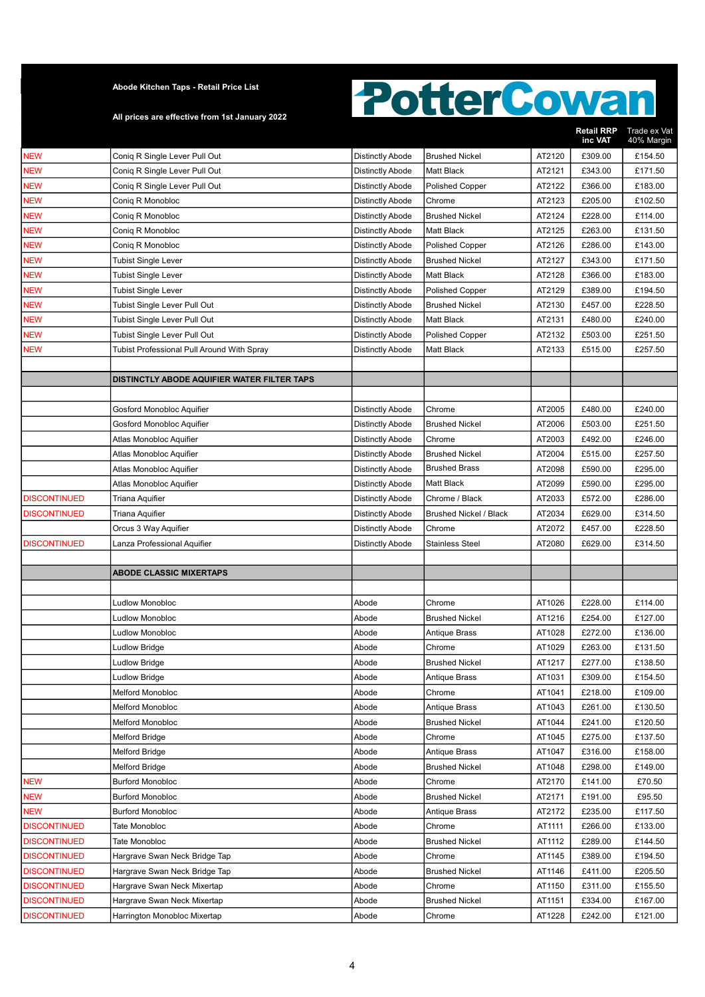All prices are effective from 1st January 2022

|                                            |                                                                |                         |                                 |                  | <b>Retail RRP</b><br>inc VAT | Trade ex Vat<br>40% Margin |
|--------------------------------------------|----------------------------------------------------------------|-------------------------|---------------------------------|------------------|------------------------------|----------------------------|
| <b>NEW</b>                                 | Conig R Single Lever Pull Out                                  | <b>Distinctly Abode</b> | <b>Brushed Nickel</b>           | AT2120           | £309.00                      | £154.50                    |
| <b>NEW</b>                                 | Coniq R Single Lever Pull Out                                  | <b>Distinctly Abode</b> | Matt Black                      | AT2121           | £343.00                      | £171.50                    |
| <b>NEW</b>                                 | Conig R Single Lever Pull Out                                  | <b>Distinctly Abode</b> | <b>Polished Copper</b>          | AT2122           | £366.00                      | £183.00                    |
| <b>NEW</b>                                 | Conig R Monobloc                                               | <b>Distinctly Abode</b> | Chrome                          | AT2123           | £205.00                      | £102.50                    |
| <b>NEW</b>                                 | Conig R Monobloc                                               | <b>Distinctly Abode</b> | <b>Brushed Nickel</b>           | AT2124           | £228.00                      | £114.00                    |
| <b>NEW</b>                                 | Conig R Monobloc                                               | <b>Distinctly Abode</b> | Matt Black                      | AT2125           | £263.00                      | £131.50                    |
| <b>NEW</b>                                 | Conig R Monobloc                                               | <b>Distinctly Abode</b> | <b>Polished Copper</b>          | AT2126           | £286.00                      | £143.00                    |
| <b>NEW</b>                                 | <b>Tubist Single Lever</b>                                     | <b>Distinctly Abode</b> | <b>Brushed Nickel</b>           | AT2127           | £343.00                      | £171.50                    |
| <b>NEW</b>                                 | <b>Tubist Single Lever</b>                                     | Distinctly Abode        | Matt Black                      | AT2128           | £366.00                      | £183.00                    |
| <b>NEW</b>                                 | Tubist Single Lever                                            | <b>Distinctly Abode</b> | <b>Polished Copper</b>          | AT2129           | £389.00                      | £194.50                    |
| <b>NEW</b>                                 | Tubist Single Lever Pull Out                                   | <b>Distinctly Abode</b> | <b>Brushed Nickel</b>           | AT2130           | £457.00                      | £228.50                    |
| <b>NEW</b>                                 | Tubist Single Lever Pull Out                                   | <b>Distinctly Abode</b> | Matt Black                      | AT2131           | £480.00                      | £240.00                    |
| <b>NEW</b>                                 | Tubist Single Lever Pull Out                                   | <b>Distinctly Abode</b> | <b>Polished Copper</b>          | AT2132           | £503.00                      | £251.50                    |
| <b>NEW</b>                                 | Tubist Professional Pull Around With Spray                     | <b>Distinctly Abode</b> | Matt Black                      | AT2133           | £515.00                      | £257.50                    |
|                                            |                                                                |                         |                                 |                  |                              |                            |
|                                            | DISTINCTLY ABODE AQUIFIER WATER FILTER TAPS                    |                         |                                 |                  |                              |                            |
|                                            |                                                                |                         |                                 |                  |                              |                            |
|                                            | Gosford Monobloc Aquifier                                      | <b>Distinctly Abode</b> | Chrome                          | AT2005           | £480.00                      | £240.00                    |
|                                            | Gosford Monobloc Aquifier                                      | <b>Distinctly Abode</b> | <b>Brushed Nickel</b>           | AT2006           | £503.00                      | £251.50                    |
|                                            | Atlas Monobloc Aquifier                                        | <b>Distinctly Abode</b> | Chrome                          | AT2003           | £492.00                      | £246.00                    |
|                                            | Atlas Monobloc Aquifier                                        | <b>Distinctly Abode</b> | <b>Brushed Nickel</b>           | AT2004           | £515.00                      | £257.50                    |
|                                            | Atlas Monobloc Aquifier                                        | <b>Distinctly Abode</b> | <b>Brushed Brass</b>            | AT2098           | £590.00                      | £295.00                    |
|                                            | Atlas Monobloc Aquifier                                        | <b>Distinctly Abode</b> | <b>Matt Black</b>               | AT2099           | £590.00                      | £295.00                    |
| <b>DISCONTINUED</b>                        | Triana Aquifier                                                | <b>Distinctly Abode</b> | Chrome / Black                  | AT2033           | £572.00                      | £286.00                    |
| <b>DISCONTINUED</b>                        | Triana Aquifier                                                | <b>Distinctly Abode</b> | <b>Brushed Nickel / Black</b>   | AT2034           | £629.00                      | £314.50                    |
|                                            | Orcus 3 Way Aquifier                                           | <b>Distinctly Abode</b> | Chrome                          | AT2072           | £457.00                      | £228.50                    |
| <b>DISCONTINUED</b>                        | Lanza Professional Aquifier                                    | <b>Distinctly Abode</b> | <b>Stainless Steel</b>          | AT2080           | £629.00                      | £314.50                    |
|                                            |                                                                |                         |                                 |                  |                              |                            |
|                                            | <b>ABODE CLASSIC MIXERTAPS</b>                                 |                         |                                 |                  |                              |                            |
|                                            |                                                                |                         |                                 |                  |                              |                            |
|                                            | <b>Ludlow Monobloc</b>                                         | Abode                   | Chrome                          | AT1026           | £228.00                      | £114.00                    |
|                                            | <b>Ludlow Monobloc</b>                                         | Abode                   | <b>Brushed Nickel</b>           | AT1216           | £254.00                      | £127.00                    |
|                                            | <b>Ludlow Monobloc</b>                                         | Abode                   | Antique Brass                   | AT1028           | £272.00                      | £136.00                    |
|                                            | <b>Ludlow Bridge</b>                                           | Abode                   | Chrome                          | AT1029           | £263.00                      | £131.50                    |
|                                            | <b>Ludlow Bridge</b>                                           | Abode                   | <b>Brushed Nickel</b>           | AT1217           | £277.00                      | £138.50                    |
|                                            | <b>Ludlow Bridge</b>                                           | Abode                   | Antique Brass                   | AT1031           | £309.00                      | £154.50                    |
|                                            | <b>Melford Monobloc</b>                                        | Abode                   | Chrome                          | AT1041           | £218.00                      | £109.00                    |
|                                            | <b>Melford Monobloc</b>                                        | Abode                   | Antique Brass                   | AT1043           | £261.00                      | £130.50                    |
|                                            | <b>Melford Monobloc</b>                                        | Abode                   | <b>Brushed Nickel</b>           | AT1044           | £241.00                      | £120.50                    |
|                                            | <b>Melford Bridge</b>                                          | Abode                   | Chrome                          | AT1045           | £275.00                      | £137.50                    |
|                                            | <b>Melford Bridge</b>                                          | Abode                   | Antique Brass                   | AT1047           | £316.00                      | £158.00                    |
|                                            | <b>Melford Bridge</b>                                          | Abode                   | <b>Brushed Nickel</b>           | AT1048           | £298.00                      | £149.00                    |
| <b>NEW</b>                                 | <b>Burford Monobloc</b>                                        | Abode                   | Chrome                          | AT2170           | £141.00                      | £70.50                     |
| <b>NEW</b>                                 | <b>Burford Monobloc</b>                                        | Abode                   | <b>Brushed Nickel</b>           | AT2171           | £191.00                      | £95.50                     |
| <b>NEW</b>                                 | <b>Burford Monobloc</b>                                        | Abode                   | Antique Brass                   | AT2172           | £235.00                      | £117.50                    |
| <b>DISCONTINUED</b><br><b>DISCONTINUED</b> | Tate Monobloc<br>Tate Monobloc                                 | Abode<br>Abode          | Chrome<br><b>Brushed Nickel</b> | AT1111<br>AT1112 | £266.00<br>£289.00           | £133.00<br>£144.50         |
| <b>DISCONTINUED</b>                        |                                                                | Abode                   |                                 | AT1145           | £389.00                      | £194.50                    |
| <b>DISCONTINUED</b>                        | Hargrave Swan Neck Bridge Tap<br>Hargrave Swan Neck Bridge Tap | Abode                   | Chrome<br><b>Brushed Nickel</b> | AT1146           | £411.00                      | £205.50                    |
| <b>DISCONTINUED</b>                        | Hargrave Swan Neck Mixertap                                    | Abode                   | Chrome                          | AT1150           | £311.00                      | £155.50                    |
| <b>DISCONTINUED</b>                        | Hargrave Swan Neck Mixertap                                    | Abode                   | <b>Brushed Nickel</b>           | AT1151           | £334.00                      | £167.00                    |
| <b>DISCONTINUED</b>                        | Harrington Monobloc Mixertap                                   | Abode                   | Chrome                          | AT1228           | £242.00                      | £121.00                    |
|                                            |                                                                |                         |                                 |                  |                              |                            |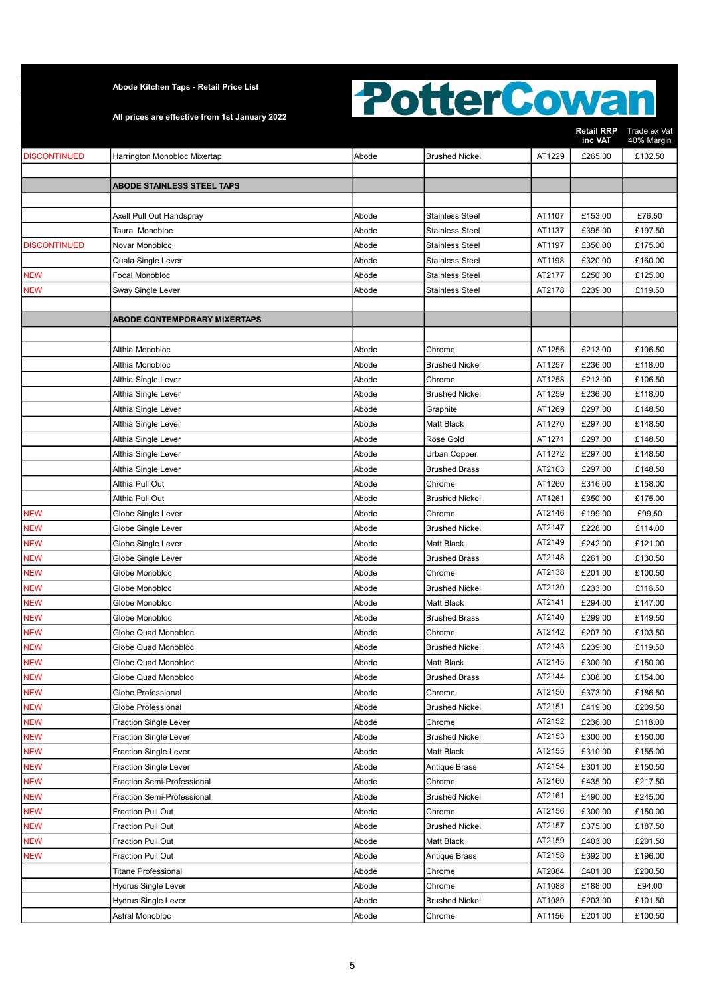All prices are effective from 1st January 2022

|                     |                                     |       |                        |        | <b>Retail RRP</b><br>inc VAT | Trade ex Vat<br>40% Margin |
|---------------------|-------------------------------------|-------|------------------------|--------|------------------------------|----------------------------|
| <b>DISCONTINUED</b> | Harrington Monobloc Mixertap        | Abode | <b>Brushed Nickel</b>  | AT1229 | £265.00                      | £132.50                    |
|                     |                                     |       |                        |        |                              |                            |
|                     | <b>ABODE STAINLESS STEEL TAPS</b>   |       |                        |        |                              |                            |
|                     |                                     |       |                        |        |                              |                            |
|                     | Axell Pull Out Handspray            | Abode | <b>Stainless Steel</b> | AT1107 | £153.00                      | £76.50                     |
|                     | Taura Monobloc                      | Abode | <b>Stainless Steel</b> | AT1137 | £395.00                      | £197.50                    |
| <b>DISCONTINUED</b> | Novar Monobloc                      | Abode | <b>Stainless Steel</b> | AT1197 | £350.00                      | £175.00                    |
|                     | Quala Single Lever                  | Abode | <b>Stainless Steel</b> | AT1198 | £320.00                      | £160.00                    |
| <b>NEW</b>          | Focal Monobloc                      | Abode | Stainless Steel        | AT2177 | £250.00                      | £125.00                    |
| <b>NEW</b>          | Sway Single Lever                   | Abode | Stainless Steel        | AT2178 | £239.00                      | £119.50                    |
|                     |                                     |       |                        |        |                              |                            |
|                     | <b>ABODE CONTEMPORARY MIXERTAPS</b> |       |                        |        |                              |                            |
|                     |                                     |       |                        |        |                              |                            |
|                     | Althia Monobloc                     | Abode | Chrome                 | AT1256 | £213.00                      | £106.50                    |
|                     | Althia Monobloc                     | Abode | <b>Brushed Nickel</b>  | AT1257 | £236.00                      | £118.00                    |
|                     | Althia Single Lever                 | Abode | Chrome                 | AT1258 | £213.00                      | £106.50                    |
|                     | Althia Single Lever                 | Abode | <b>Brushed Nickel</b>  | AT1259 | £236.00                      | £118.00                    |
|                     | Althia Single Lever                 | Abode | Graphite               | AT1269 | £297.00                      | £148.50                    |
|                     | Althia Single Lever                 | Abode | Matt Black             | AT1270 | £297.00                      | £148.50                    |
|                     | Althia Single Lever                 | Abode | Rose Gold              | AT1271 | £297.00                      | £148.50                    |
|                     | Althia Single Lever                 | Abode | Urban Copper           | AT1272 | £297.00                      | £148.50                    |
|                     | Althia Single Lever                 | Abode | <b>Brushed Brass</b>   | AT2103 | £297.00                      | £148.50                    |
|                     | Althia Pull Out                     | Abode | Chrome                 | AT1260 | £316.00                      | £158.00                    |
|                     | Althia Pull Out                     | Abode | <b>Brushed Nickel</b>  | AT1261 | £350.00                      | £175.00                    |
| <b>NEW</b>          | Globe Single Lever                  | Abode | Chrome                 | AT2146 | £199.00                      | £99.50                     |
| <b>NEW</b>          | Globe Single Lever                  | Abode | <b>Brushed Nickel</b>  | AT2147 | £228.00                      | £114.00                    |
| <b>NEW</b>          | Globe Single Lever                  | Abode | <b>Matt Black</b>      | AT2149 | £242.00                      | £121.00                    |
| <b>NEW</b>          | Globe Single Lever                  | Abode | <b>Brushed Brass</b>   | AT2148 | £261.00                      | £130.50                    |
| NEW                 | Globe Monobloc                      | Abode | Chrome                 | AT2138 | £201.00                      | £100.50                    |
| NEW                 | Globe Monobloc                      | Abode | <b>Brushed Nickel</b>  | AT2139 | £233.00                      | £116.50                    |
| <b>NEW</b>          | Globe Monobloc                      | Abode | <b>Matt Black</b>      | AT2141 | £294.00                      | £147.00                    |
| NEW                 | Globe Monobloc                      | Abode | <b>Brushed Brass</b>   | AT2140 | £299.00                      | £149.50                    |
| <b>NEW</b>          | Globe Quad Monobloc                 | Abode | Chrome                 | AT2142 | £207.00                      | £103.50                    |
| <b>NEW</b>          | Globe Quad Monobloc                 | Abode | <b>Brushed Nickel</b>  | AT2143 | £239.00                      | £119.50                    |
| <b>NEW</b>          | Globe Quad Monobloc                 | Abode | <b>Matt Black</b>      | AT2145 | £300.00                      | £150.00                    |
| <b>NEW</b>          | Globe Quad Monobloc                 | Abode | <b>Brushed Brass</b>   | AT2144 | £308.00                      | £154.00                    |
| <b>NEW</b>          | Globe Professional                  | Abode | Chrome                 | AT2150 | £373.00                      | £186.50                    |
| <b>NEW</b>          | Globe Professional                  | Abode | <b>Brushed Nickel</b>  | AT2151 | £419.00                      | £209.50                    |
| <b>NEW</b>          | <b>Fraction Single Lever</b>        | Abode | Chrome                 | AT2152 | £236.00                      | £118.00                    |
| <b>NEW</b>          | <b>Fraction Single Lever</b>        | Abode | <b>Brushed Nickel</b>  | AT2153 | £300.00                      | £150.00                    |
| NEW                 | <b>Fraction Single Lever</b>        | Abode | Matt Black             | AT2155 | £310.00                      | £155.00                    |
| NEW                 | <b>Fraction Single Lever</b>        | Abode | Antique Brass          | AT2154 | £301.00                      | £150.50                    |
| <b>NEW</b>          | Fraction Semi-Professional          | Abode | Chrome                 | AT2160 | £435.00                      | £217.50                    |
| <b>NEW</b>          | Fraction Semi-Professional          | Abode | <b>Brushed Nickel</b>  | AT2161 | £490.00                      | £245.00                    |
| <b>NEW</b>          | Fraction Pull Out                   | Abode | Chrome                 | AT2156 | £300.00                      | £150.00                    |
| <b>NEW</b>          | Fraction Pull Out                   | Abode | <b>Brushed Nickel</b>  | AT2157 | £375.00                      | £187.50                    |
| <b>NEW</b>          | Fraction Pull Out                   | Abode | Matt Black             | AT2159 | £403.00                      | £201.50                    |
| <b>NEW</b>          | Fraction Pull Out                   | Abode | Antique Brass          | AT2158 | £392.00                      | £196.00                    |
|                     | <b>Titane Professional</b>          | Abode | Chrome                 | AT2084 | £401.00                      | £200.50                    |
|                     | <b>Hydrus Single Lever</b>          | Abode | Chrome                 | AT1088 | £188.00                      | £94.00                     |
|                     | <b>Hydrus Single Lever</b>          | Abode | <b>Brushed Nickel</b>  | AT1089 | £203.00                      | £101.50                    |
|                     | Astral Monobloc                     | Abode | Chrome                 | AT1156 | £201.00                      | £100.50                    |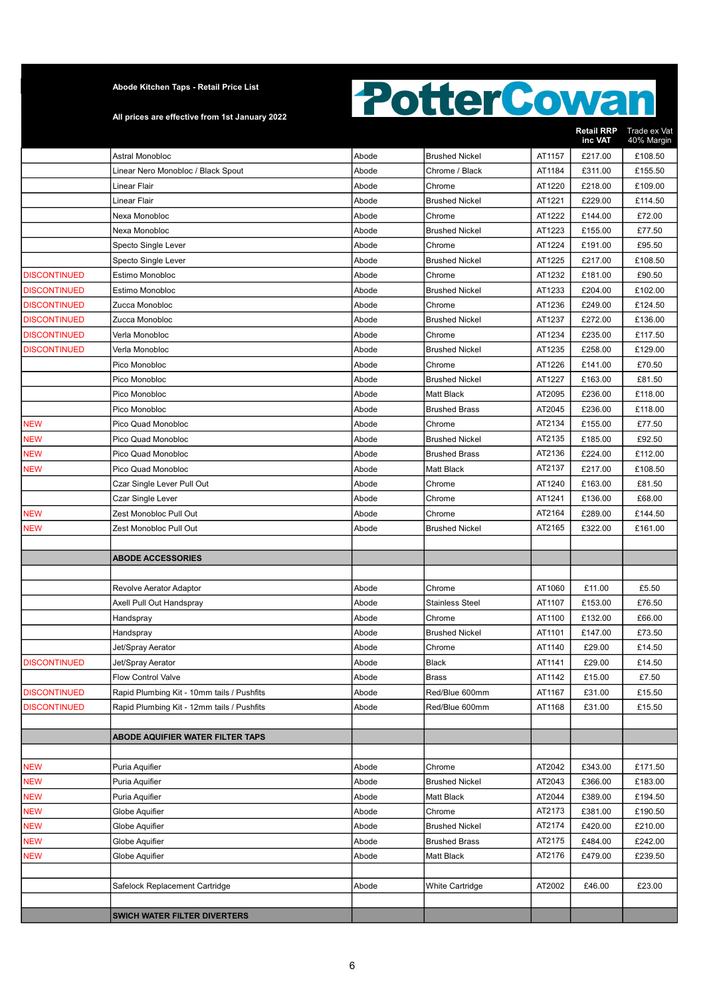All prices are effective from 1st January 2022

|                     |                                            |       |                        |        | <b>Retail RRP</b><br>inc VAT | Trade ex Vat<br>40% Margin |
|---------------------|--------------------------------------------|-------|------------------------|--------|------------------------------|----------------------------|
|                     | Astral Monobloc                            | Abode | <b>Brushed Nickel</b>  | AT1157 | £217.00                      | £108.50                    |
|                     | Linear Nero Monobloc / Black Spout         | Abode | Chrome / Black         | AT1184 | £311.00                      | £155.50                    |
|                     | Linear Flair                               | Abode | Chrome                 | AT1220 | £218.00                      | £109.00                    |
|                     | Linear Flair                               | Abode | <b>Brushed Nickel</b>  | AT1221 | £229.00                      | £114.50                    |
|                     | Nexa Monobloc                              | Abode | Chrome                 | AT1222 | £144.00                      | £72.00                     |
|                     | Nexa Monobloc                              | Abode | <b>Brushed Nickel</b>  | AT1223 | £155.00                      | £77.50                     |
|                     | Specto Single Lever                        | Abode | Chrome                 | AT1224 | £191.00                      | £95.50                     |
|                     | Specto Single Lever                        | Abode | <b>Brushed Nickel</b>  | AT1225 | £217.00                      | £108.50                    |
| <b>DISCONTINUED</b> | Estimo Monobloc                            | Abode | Chrome                 | AT1232 | £181.00                      | £90.50                     |
| <b>DISCONTINUED</b> | <b>Estimo Monobloc</b>                     | Abode | <b>Brushed Nickel</b>  | AT1233 | £204.00                      | £102.00                    |
| <b>DISCONTINUED</b> | Zucca Monobloc                             | Abode | Chrome                 | AT1236 | £249.00                      | £124.50                    |
| <b>DISCONTINUED</b> | Zucca Monobloc                             | Abode | <b>Brushed Nickel</b>  | AT1237 | £272.00                      | £136.00                    |
| <b>DISCONTINUED</b> | Verla Monobloc                             | Abode | Chrome                 | AT1234 | £235.00                      | £117.50                    |
| <b>DISCONTINUED</b> | Verla Monobloc                             | Abode | <b>Brushed Nickel</b>  | AT1235 | £258.00                      | £129.00                    |
|                     | Pico Monobloc                              | Abode | Chrome                 | AT1226 | £141.00                      | £70.50                     |
|                     | Pico Monobloc                              | Abode | <b>Brushed Nickel</b>  | AT1227 | £163.00                      | £81.50                     |
|                     | Pico Monobloc                              | Abode | <b>Matt Black</b>      | AT2095 | £236.00                      | £118.00                    |
|                     | Pico Monobloc                              | Abode | <b>Brushed Brass</b>   | AT2045 | £236.00                      | £118.00                    |
| <b>NEW</b>          | Pico Quad Monobloc                         | Abode | Chrome                 | AT2134 | £155.00                      | £77.50                     |
| NEW                 | Pico Quad Monobloc                         | Abode | <b>Brushed Nickel</b>  | AT2135 | £185.00                      | £92.50                     |
| NEW                 | Pico Quad Monobloc                         | Abode | <b>Brushed Brass</b>   | AT2136 | £224.00                      | £112.00                    |
| <b>NEW</b>          | Pico Quad Monobloc                         | Abode | <b>Matt Black</b>      | AT2137 | £217.00                      | £108.50                    |
|                     | Czar Single Lever Pull Out                 | Abode | Chrome                 | AT1240 | £163.00                      | £81.50                     |
|                     | <b>Czar Single Lever</b>                   | Abode | Chrome                 | AT1241 | £136.00                      | £68.00                     |
| <b>NEW</b>          | Zest Monobloc Pull Out                     | Abode | Chrome                 | AT2164 | £289.00                      | £144.50                    |
| NEW                 | Zest Monobloc Pull Out                     | Abode | <b>Brushed Nickel</b>  | AT2165 | £322.00                      | £161.00                    |
|                     |                                            |       |                        |        |                              |                            |
|                     | <b>ABODE ACCESSORIES</b>                   |       |                        |        |                              |                            |
|                     |                                            |       |                        |        |                              |                            |
|                     | Revolve Aerator Adaptor                    | Abode | Chrome                 | AT1060 | £11.00                       | £5.50                      |
|                     | Axell Pull Out Handspray                   | Abode | <b>Stainless Steel</b> | AT1107 | £153.00                      | £76.50                     |
|                     | Handspray                                  | Abode | Chrome                 | AT1100 | £132.00                      | £66.00                     |
|                     | Handspray                                  | Abode | <b>Brushed Nickel</b>  | AT1101 | £147.00                      | £73.50                     |
|                     | Jet/Spray Aerator                          | Abode | Chrome                 | AT1140 | £29.00                       | £14.50                     |
| <b>DISCONTINUED</b> | Jet/Spray Aerator                          | Abode | Black                  | AT1141 | £29.00                       | £14.50                     |
|                     | <b>Flow Control Valve</b>                  | Abode | <b>Brass</b>           | AT1142 | £15.00                       | £7.50                      |
| <b>DISCONTINUED</b> | Rapid Plumbing Kit - 10mm tails / Pushfits | Abode | Red/Blue 600mm         | AT1167 | £31.00                       | £15.50                     |
| <b>DISCONTINUED</b> | Rapid Plumbing Kit - 12mm tails / Pushfits | Abode | Red/Blue 600mm         | AT1168 | £31.00                       | £15.50                     |
|                     |                                            |       |                        |        |                              |                            |
|                     | ABODE AQUIFIER WATER FILTER TAPS           |       |                        |        |                              |                            |
|                     |                                            |       |                        |        |                              |                            |
| <b>NEW</b>          | Puria Aquifier                             | Abode | Chrome                 | AT2042 | £343.00                      | £171.50                    |
| NEW                 | Puria Aquifier                             | Abode | <b>Brushed Nickel</b>  | AT2043 | £366.00                      | £183.00                    |
| <b>NEW</b>          | Puria Aquifier                             | Abode | Matt Black             | AT2044 | £389.00                      | £194.50                    |
| <b>NEW</b>          | Globe Aquifier                             | Abode | Chrome                 | AT2173 | £381.00                      | £190.50                    |
| <b>NEW</b>          | Globe Aquifier                             | Abode | <b>Brushed Nickel</b>  | AT2174 | £420.00                      | £210.00                    |
| <b>NEW</b>          | Globe Aquifier                             | Abode | <b>Brushed Brass</b>   | AT2175 | £484.00                      | £242.00                    |
| NEW                 | Globe Aquifier                             | Abode | Matt Black             | AT2176 | £479.00                      | £239.50                    |
|                     |                                            |       |                        |        |                              |                            |
|                     | Safelock Replacement Cartridge             | Abode | <b>White Cartridge</b> | AT2002 | £46.00                       | £23.00                     |
|                     |                                            |       |                        |        |                              |                            |
|                     | <b>SWICH WATER FILTER DIVERTERS</b>        |       |                        |        |                              |                            |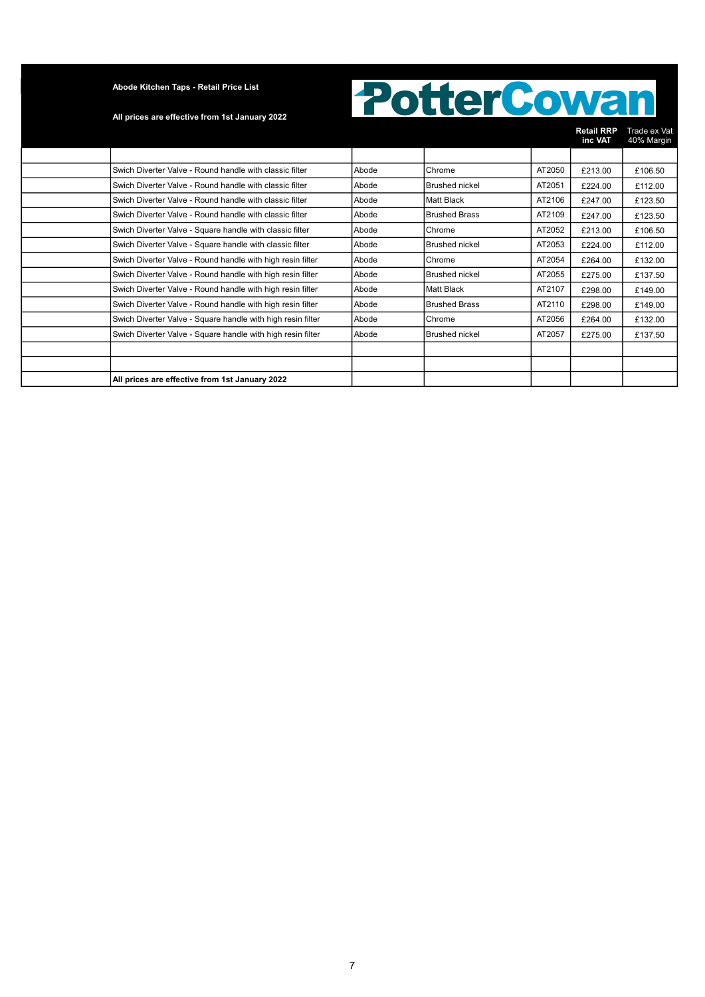#### All prices are effective from 1st January 2022

|                                                             |       |                       |        | <b>Retail RRP</b><br>inc VAT | Trade ex Vat<br>40% Margin |
|-------------------------------------------------------------|-------|-----------------------|--------|------------------------------|----------------------------|
|                                                             |       |                       |        |                              |                            |
| Swich Diverter Valve - Round handle with classic filter     | Abode | Chrome                | AT2050 | £213.00                      | £106.50                    |
| Swich Diverter Valve - Round handle with classic filter     | Abode | Brushed nickel        | AT2051 | £224.00                      | £112.00                    |
| Swich Diverter Valve - Round handle with classic filter     | Abode | Matt Black            | AT2106 | £247.00                      | £123.50                    |
| Swich Diverter Valve - Round handle with classic filter     | Abode | <b>Brushed Brass</b>  | AT2109 | £247.00                      | £123.50                    |
| Swich Diverter Valve - Square handle with classic filter    | Abode | Chrome                | AT2052 | £213.00                      | £106.50                    |
| Swich Diverter Valve - Square handle with classic filter    | Abode | <b>Brushed nickel</b> | AT2053 | £224.00                      | £112.00                    |
| Swich Diverter Valve - Round handle with high resin filter  | Abode | Chrome                | AT2054 | £264.00                      | £132.00                    |
| Swich Diverter Valve - Round handle with high resin filter  | Abode | <b>Brushed nickel</b> | AT2055 | £275.00                      | £137.50                    |
| Swich Diverter Valve - Round handle with high resin filter  | Abode | <b>Matt Black</b>     | AT2107 | £298.00                      | £149.00                    |
| Swich Diverter Valve - Round handle with high resin filter  | Abode | <b>Brushed Brass</b>  | AT2110 | £298.00                      | £149.00                    |
| Swich Diverter Valve - Square handle with high resin filter | Abode | Chrome                | AT2056 | £264.00                      | £132.00                    |
| Swich Diverter Valve - Square handle with high resin filter | Abode | <b>Brushed nickel</b> | AT2057 | £275.00                      | £137.50                    |
|                                                             |       |                       |        |                              |                            |
|                                                             |       |                       |        |                              |                            |
| All prices are effective from 1st January 2022              |       |                       |        |                              |                            |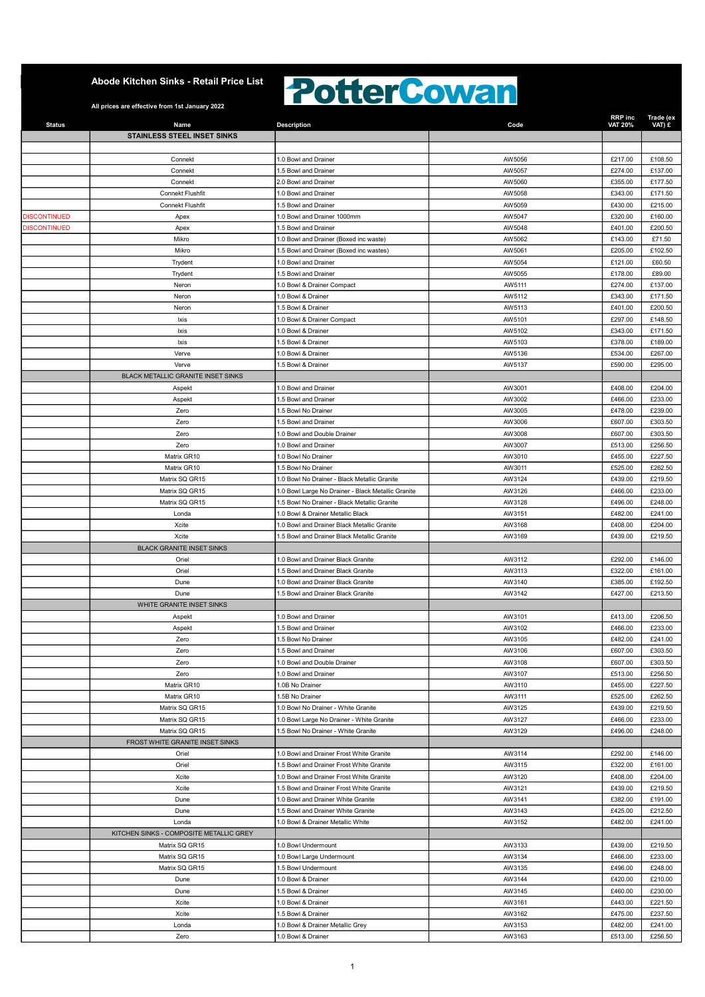### **PotterCowan**

| <b>Status</b>       | Name                                     | <b>Description</b>                                                               | Code             | RRP inc<br>VAT 20% | Trade (ex<br>VAT) £ |
|---------------------|------------------------------------------|----------------------------------------------------------------------------------|------------------|--------------------|---------------------|
|                     | STAINLESS STEEL INSET SINKS              |                                                                                  |                  |                    |                     |
|                     |                                          |                                                                                  |                  |                    |                     |
|                     | Connekt                                  | 1.0 Bowl and Drainer                                                             | AW5056           | £217.00            | £108.50             |
|                     | Connekt                                  | 1.5 Bowl and Drainer                                                             | AW5057           | £274.00            | £137.00             |
|                     | Connekt                                  | 2.0 Bowl and Drainer                                                             | AW5060           | £355.00            | £177.50             |
|                     | <b>Connekt Flushfit</b>                  | 1.0 Bowl and Drainer                                                             | AW5058           | £343.00            | £171.50             |
|                     | Connekt Flushfit                         | 1.5 Bowl and Drainer                                                             | AW5059           | £430.00            | £215.00             |
| <b>DISCONTINUED</b> | Apex                                     | 1.0 Bowl and Drainer 1000mm                                                      | AW5047           | £320.00            | £160.00             |
| <b>DISCONTINUED</b> | Apex                                     | 1.5 Bowl and Drainer                                                             | AW5048           | £401.00            | £200.50             |
|                     | Mikro                                    | 1.0 Bowl and Drainer (Boxed inc waste)                                           | AW5062           | £143.00            | £71.50              |
|                     | Mikro                                    | 1.5 Bowl and Drainer (Boxed inc wastes)                                          | AW5061           | £205.00            | £102.50             |
|                     | Trydent                                  | 1.0 Bowl and Drainer                                                             | AW5054           | £121.00            | £60.50              |
|                     | Trydent                                  | 1.5 Bowl and Drainer                                                             | AW5055           | £178.00            | £89.00              |
|                     | Neron                                    | 1.0 Bowl & Drainer Compact                                                       | AW5111           | £274.00            | £137.00             |
|                     | Neron                                    | 1.0 Bowl & Drainer                                                               | AW5112           | £343.00            | £171.50             |
|                     | Neron                                    | 1.5 Bowl & Drainer                                                               | AW5113           | £401.00            | £200.50             |
|                     | lxis                                     | 1.0 Bowl & Drainer Compact                                                       | AW5101           | £297.00            | £148.50             |
|                     | lxis                                     | 1.0 Bowl & Drainer                                                               | AW5102           | £343.00            | £171.50             |
|                     | Ixis                                     | 1.5 Bowl & Drainer                                                               | AW5103           | £378.00            | £189.00             |
|                     | Verve                                    | 1.0 Bowl & Drainer                                                               | AW5136           | £534.00            | £267.00             |
|                     | Verve                                    | 1.5 Bowl & Drainer                                                               | AW5137           | £590.00            | £295.00             |
|                     | BLACK METALLIC GRANITE INSET SINKS       |                                                                                  |                  |                    |                     |
|                     | Aspekt                                   | 1.0 Bowl and Drainer                                                             | AW3001           | £408.00            | £204.00             |
|                     | Aspekt                                   | 1.5 Bowl and Drainer                                                             | AW3002           | £466.00            | £233.00             |
|                     | Zero                                     | 1.5 Bowl No Drainer                                                              | AW3005           | £478.00            | £239.00             |
|                     | Zero                                     | 1.5 Bowl and Drainer                                                             | AW3006           | £607.00            | £303.50             |
|                     | Zero                                     | 1.0 Bowl and Double Drainer                                                      | AW3008           | £607.00            | £303.50             |
|                     | Zero                                     | 1.0 Bowl and Drainer                                                             | AW3007           | £513.00            | £256.50             |
|                     | Matrix GR10                              | 1.0 Bowl No Drainer                                                              | AW3010           | £455.00            | £227.50             |
|                     | Matrix GR10                              | 1.5 Bowl No Drainer                                                              | AW3011           | £525.00            | £262.50             |
|                     | Matrix SQ GR15                           | 1.0 Bowl No Drainer - Black Metallic Granite                                     | AW3124           | £439.00            | £219.50             |
|                     | Matrix SQ GR15                           | 1.0 Bowl Large No Drainer - Black Metallic Granite                               | AW3126           | £466.00            | £233.00             |
|                     | Matrix SQ GR15                           | 1.5 Bowl No Drainer - Black Metallic Granite                                     | AW3128           | £496.00            | £248.00             |
|                     | Londa                                    | 1.0 Bowl & Drainer Metallic Black                                                | AW3151           | £482.00            | £241.00             |
|                     | Xcite                                    | 1.0 Bowl and Drainer Black Metallic Granite                                      | AW3168           | £408.00            | £204.00             |
|                     |                                          |                                                                                  |                  |                    |                     |
|                     | Xcite                                    | 1.5 Bowl and Drainer Black Metallic Granite                                      | AW3169           | £439.00            | £219.50             |
|                     | <b>BLACK GRANITE INSET SINKS</b>         |                                                                                  |                  |                    |                     |
|                     | Oriel                                    | 1.0 Bowl and Drainer Black Granite                                               | AW3112           | £292.00            | £146.00             |
|                     | Oriel                                    | 1.5 Bowl and Drainer Black Granite                                               | AW3113           | £322.00            | £161.00             |
|                     | Dune                                     | 1.0 Bowl and Drainer Black Granite                                               | AW3140           | £385.00            | £192.50             |
|                     | Dune                                     | 1.5 Bowl and Drainer Black Granite                                               | AW3142           | £427.00            | £213.50             |
|                     | WHITE GRANITE INSET SINKS                |                                                                                  |                  |                    |                     |
|                     | Aspekt                                   | 1.0 Bowl and Drainer                                                             | AW3101           | £413.00            | £206.50             |
|                     | Aspekt                                   | 1.5 Bowl and Drainer                                                             | AW3102           | £466.00            | £233.00             |
|                     | Zero                                     | 1.5 Bowl No Drainer                                                              | AW3105           | £482.00            | £241.00             |
|                     | Zero                                     | 1.5 Bowl and Drainer                                                             | AW3106           |                    | £303.50             |
|                     | Zero                                     | 1.0 Bowl and Double Drainer                                                      | AW3108           | £607.00<br>£607.00 | £303.50             |
|                     | Zero                                     | 1.0 Bowl and Drainer                                                             | AW3107           | £513.00            | £256.50             |
|                     | Matrix GR10                              | 1.0B No Drainer                                                                  | AW3110           | £455.00            | £227.50             |
|                     | Matrix GR10                              | 1.5B No Drainer                                                                  | AW3111           | £525.00            | £262.50             |
|                     | Matrix SQ GR15                           | 1.0 Bowl No Drainer - White Granite                                              | AW3125           | £439.00            | £219.50             |
|                     | Matrix SQ GR15                           |                                                                                  |                  |                    |                     |
|                     | Matrix SQ GR15                           | 1.0 Bowl Large No Drainer - White Granite<br>1.5 Bowl No Drainer - White Granite | AW3127<br>AW3129 | £466.00<br>£496.00 | £233.00<br>£248.00  |
|                     |                                          |                                                                                  |                  |                    |                     |
|                     | FROST WHITE GRANITE INSET SINKS<br>Oriel |                                                                                  |                  |                    |                     |
|                     |                                          | 1.0 Bowl and Drainer Frost White Granite                                         | AW3114<br>AW3115 | £292.00            | £146.00             |
|                     | Oriel                                    | 1.5 Bowl and Drainer Frost White Granite                                         |                  | £322.00            | £161.00             |
|                     | Xcite                                    | 1.0 Bowl and Drainer Frost White Granite                                         | AW3120           | £408.00            | £204.00             |
|                     | Xcite                                    | 1.5 Bowl and Drainer Frost White Granite                                         | AW3121           | £439.00            | £219.50             |
|                     | Dune<br>Dune                             | 1.0 Bowl and Drainer White Granite<br>1.5 Bowl and Drainer White Granite         | AW3141<br>AW3143 | £382.00<br>£425.00 | £191.00<br>£212.50  |
|                     |                                          |                                                                                  |                  |                    |                     |
|                     | Londa                                    | 1.0 Bowl & Drainer Metallic White                                                | AW3152           | £482.00            | £241.00             |
|                     | KITCHEN SINKS - COMPOSITE METALLIC GREY  |                                                                                  |                  |                    |                     |
|                     | Matrix SQ GR15                           | 1.0 Bowl Undermount                                                              | AW3133           | £439.00            | £219.50             |
|                     | Matrix SQ GR15                           | 1.0 Bowl Large Undermount                                                        | AW3134           | £466.00            | £233.00             |
|                     | Matrix SQ GR15                           | 1.5 Bowl Undermount                                                              | AW3135           | £496.00            | £248.00             |
|                     | Dune                                     | 1.0 Bowl & Drainer                                                               | AW3144           | £420.00            | £210.00             |
|                     | Dune                                     | 1.5 Bowl & Drainer                                                               | AW3145           | £460.00            | £230.00             |
|                     | Xcite                                    | 1.0 Bowl & Drainer                                                               | AW3161           | £443.00            | £221.50             |
|                     | Xcite                                    | 1.5 Bowl & Drainer                                                               | AW3162           | £475.00            | £237.50             |
|                     | Londa<br>Zero                            | 1.0 Bowl & Drainer Metallic Grey<br>1.0 Bowl & Drainer                           | AW3153<br>AW3163 | £482.00<br>£513.00 | £241.00<br>£256.50  |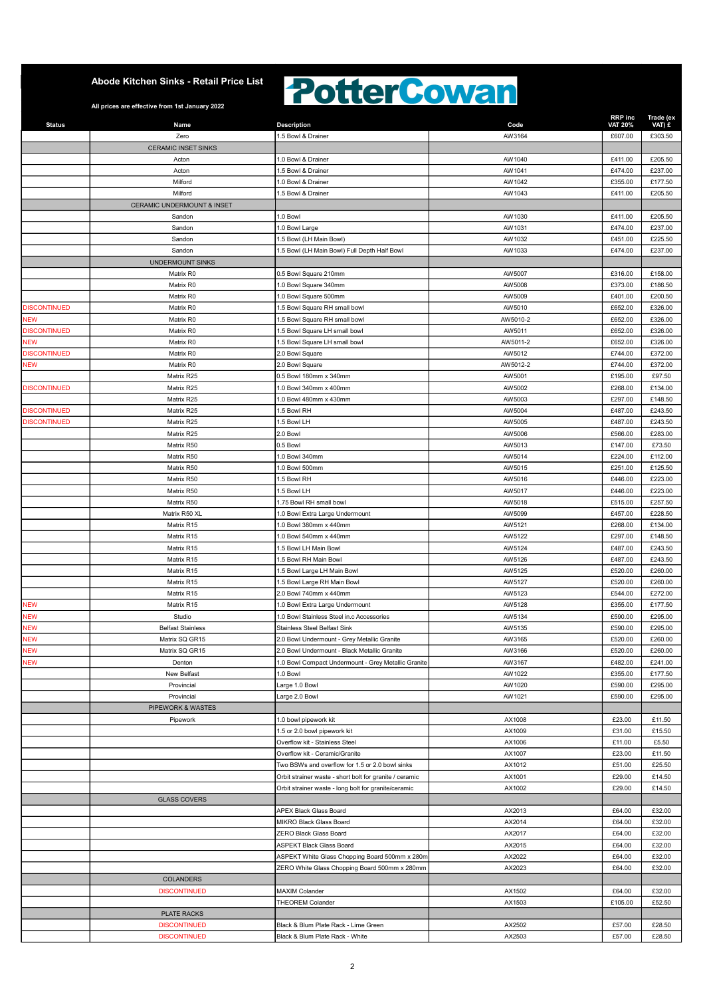### **PotterCowan**

| <b>Status</b>            | Name                       | <b>Description</b>                                                           | Code             | <b>RRP</b> inc<br><b>VAT 20%</b> | Trade (ex<br>VAT) £ |
|--------------------------|----------------------------|------------------------------------------------------------------------------|------------------|----------------------------------|---------------------|
|                          | Zero                       | 1.5 Bowl & Drainer                                                           | AW3164           | £607.00                          | £303.50             |
|                          | <b>CERAMIC INSET SINKS</b> |                                                                              |                  |                                  |                     |
|                          | Acton                      | 1.0 Bowl & Drainer                                                           | AW1040           | £411.00                          | £205.50             |
|                          | Acton                      | 1.5 Bowl & Drainer                                                           | AW1041           | £474.00                          | £237.00             |
|                          | Milford                    | 1.0 Bowl & Drainer                                                           | AW1042           | £355.00                          | £177.50             |
|                          | Milford                    | 1.5 Bowl & Drainer                                                           | AW1043           | £411.00                          | £205.50             |
|                          | CERAMIC UNDERMOUNT & INSET |                                                                              |                  |                                  |                     |
|                          | Sandon                     | 1.0 Bowl                                                                     | AW1030           | £411.00                          | £205.50             |
|                          | Sandon                     | 1.0 Bowl Large                                                               | AW1031           | £474.00                          | £237.00             |
|                          | Sandon<br>Sandon           | 1.5 Bowl (LH Main Bowl)<br>1.5 Bowl (LH Main Bowl) Full Depth Half Bowl      | AW1032<br>AW1033 | £451.00<br>£474.00               | £225.50<br>£237.00  |
|                          | UNDERMOUNT SINKS           |                                                                              |                  |                                  |                     |
|                          | Matrix R0                  | 0.5 Bowl Square 210mm                                                        | AW5007           | £316.00                          | £158.00             |
|                          | Matrix R0                  | 1.0 Bowl Square 340mm                                                        | AW5008           | £373.00                          | £186.50             |
|                          | Matrix R0                  | 1.0 Bowl Square 500mm                                                        | AW5009           | £401.00                          | £200.50             |
| <b>DISCONTINUED</b>      | Matrix R0                  | 1.5 Bowl Square RH small bowl                                                | AW5010           | £652.00                          | £326.00             |
| <b>NEW</b>               | Matrix R0                  | 1.5 Bowl Square RH small bowl                                                | AW5010-2         | £652.00                          | £326.00             |
| <b>DISCONTINUED</b>      | Matrix R0                  | 1.5 Bowl Square LH small bowl                                                | AW5011           | £652.00                          | £326.00             |
| <b>NEW</b>               | Matrix R0                  | 1.5 Bowl Square LH small bowl                                                | AW5011-2         | £652.00                          | £326.00             |
| <b>DISCONTINUED</b>      | Matrix R0                  | 2.0 Bowl Square                                                              | AW5012           | £744.00                          | £372.00             |
| <b>NEW</b>               | Matrix R0                  | 2.0 Bowl Square                                                              | AW5012-2         | £744.00                          | £372.00             |
|                          | Matrix R25                 | 0.5 Bowl 180mm x 340mm                                                       | AW5001           | £195.00                          | £97.50              |
| <b>DISCONTINUED</b>      | Matrix R25                 | 1.0 Bowl 340mm x 400mm                                                       | AW5002           | £268.00                          | £134.00             |
|                          | Matrix R25                 | 1.0 Bowl 480mm x 430mm                                                       | AW5003           | £297.00                          | £148.50             |
| <b>DISCONTINUED</b>      | Matrix R25                 | 1.5 Bowl RH                                                                  | AW5004           | £487.00                          | £243.50             |
| <b>DISCONTINUED</b>      | Matrix R25<br>Matrix R25   | 1.5 Bowl LH<br>2.0 Bowl                                                      | AW5005<br>AW5006 | £487.00<br>£566.00               | £243.50<br>£283.00  |
|                          | Matrix R50                 | 0.5 Bowl                                                                     | AW5013           | £147.00                          | £73.50              |
|                          | Matrix R50                 | 1.0 Bowl 340mm                                                               | AW5014           | £224.00                          | £112.00             |
|                          | Matrix R50                 | 1.0 Bowl 500mm                                                               | AW5015           | £251.00                          | £125.50             |
|                          | Matrix R50                 | 1.5 Bowl RH                                                                  | AW5016           | £446.00                          | £223.00             |
|                          | Matrix R50                 | 1.5 Bowl LH                                                                  | AW5017           | £446.00                          | £223.00             |
|                          | Matrix R50                 | 1.75 Bowl RH small bowl                                                      | AW5018           | £515.00                          | £257.50             |
|                          | Matrix R50 XL              | 1.0 Bowl Extra Large Undermount                                              | AW5099           | £457.00                          | £228.50             |
|                          | Matrix R15                 | 1.0 Bowl 380mm x 440mm                                                       | AW5121           | £268.00                          | £134.00             |
|                          | Matrix R15                 | 1.0 Bowl 540mm x 440mm                                                       | AW5122           | £297.00                          | £148.50             |
|                          | Matrix R15                 | 1.5 Bowl LH Main Bowl                                                        | AW5124           | £487.00                          | £243.50             |
|                          | Matrix R15                 | 1.5 Bowl RH Main Bowl                                                        | AW5126           | £487.00                          | £243.50             |
|                          | Matrix R15                 | 1.5 Bowl Large LH Main Bowl                                                  | AW5125           | £520.00                          | £260.00             |
|                          | Matrix R15                 | 1.5 Bowl Large RH Main Bowl                                                  | AW5127           | £520.00                          | £260.00             |
|                          | Matrix R15                 | 2.0 Bowl 740mm x 440mm                                                       | AW5123           | £544.00                          | £272.00             |
| <b>NEW</b><br><b>NEW</b> | Matrix R15<br>Studio       | 1.0 Bowl Extra Large Undermount<br>1.0 Bowl Stainless Steel in.c Accessories | AW5128<br>AW5134 | £355.00<br>£590.00               | £177.50<br>£295.00  |
| <b>NEW</b>               | <b>Belfast Stainless</b>   | <b>Stainless Steel Belfast Sink</b>                                          | AW5135           | £590.00                          | £295.00             |
| <b>NEW</b>               | Matrix SQ GR15             | 2.0 Bowl Undermount - Grey Metallic Granite                                  | AW3165           | £520.00                          | £260.00             |
| <b>NEW</b>               | Matrix SQ GR15             | 2.0 Bowl Undermount - Black Metallic Granite                                 | AW3166           | £520.00                          | £260.00             |
| <b>NEW</b>               | Denton                     | 1.0 Bowl Compact Undermount - Grey Metallic Granite                          | AW3167           | £482.00                          | £241.00             |
|                          | New Belfast                | 1.0 Bowl                                                                     | AW1022           | £355.00                          | £177.50             |
|                          | Provincial                 | Large 1.0 Bowl                                                               | AW1020           | £590.00                          | £295.00             |
|                          | Provincial                 | Large 2.0 Bowl                                                               | AW1021           | £590.00                          | £295.00             |
|                          | PIPEWORK & WASTES          |                                                                              |                  |                                  |                     |
|                          | Pipework                   | 1.0 bowl pipework kit                                                        | AX1008           | £23.00                           | £11.50              |
|                          |                            | 1.5 or 2.0 bowl pipework kit                                                 | AX1009           | £31.00                           | £15.50              |
|                          |                            | Overflow kit - Stainless Steel                                               | AX1006           | £11.00                           | £5.50               |
|                          |                            | Overflow kit - Ceramic/Granite                                               | AX1007           | £23.00                           | £11.50              |
|                          |                            | Two BSWs and overflow for 1.5 or 2.0 bowl sinks                              | AX1012           | £51.00                           | £25.50              |
|                          |                            | Orbit strainer waste - short bolt for granite / ceramic                      | AX1001           | £29.00                           | £14.50              |
|                          |                            | Orbit strainer waste - long bolt for granite/ceramic                         | AX1002           | £29.00                           | £14.50              |
|                          | <b>GLASS COVERS</b>        | APEX Black Glass Board                                                       | AX2013           | £64.00                           | £32.00              |
|                          |                            | MIKRO Black Glass Board                                                      | AX2014           | £64.00                           | £32.00              |
|                          |                            | ZERO Black Glass Board                                                       | AX2017           | £64.00                           | £32.00              |
|                          |                            | ASPEKT Black Glass Board                                                     | AX2015           | £64.00                           | £32.00              |
|                          |                            | ASPEKT White Glass Chopping Board 500mm x 280m                               | AX2022           | £64.00                           | £32.00              |
|                          |                            | ZERO White Glass Chopping Board 500mm x 280mm                                | AX2023           | £64.00                           | £32.00              |
|                          | COLANDERS                  |                                                                              |                  |                                  |                     |
|                          | <b>DISCONTINUED</b>        | <b>MAXIM Colander</b>                                                        | AX1502           | £64.00                           | £32.00              |
|                          |                            | <b>THEOREM Colander</b>                                                      | AX1503           | £105.00                          | £52.50              |
|                          | PLATE RACKS                |                                                                              |                  |                                  |                     |
|                          | <b>DISCONTINUED</b>        | Black & Blum Plate Rack - Lime Green                                         | AX2502           | £57.00                           | £28.50              |
|                          | <b>DISCONTINUED</b>        | Black & Blum Plate Rack - White                                              | AX2503           | £57.00                           | £28.50              |
|                          |                            |                                                                              |                  |                                  |                     |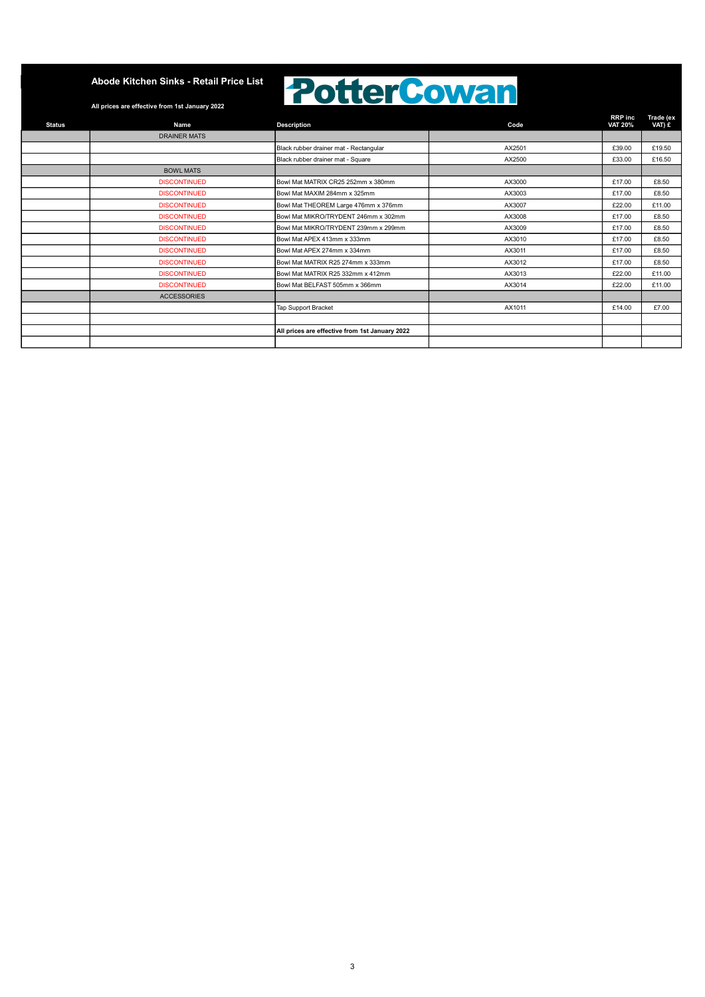### **PotterCowan**

| Name                | <b>Description</b>                             | Code   | <b>RRP</b> inc<br><b>VAT 20%</b> | Trade (ex<br>VAT) £ |
|---------------------|------------------------------------------------|--------|----------------------------------|---------------------|
| <b>DRAINER MATS</b> |                                                |        |                                  |                     |
|                     | Black rubber drainer mat - Rectangular         | AX2501 | £39.00                           | £19.50              |
|                     | Black rubber drainer mat - Square              | AX2500 | £33.00                           | £16.50              |
| <b>BOWL MATS</b>    |                                                |        |                                  |                     |
| <b>DISCONTINUED</b> | Bowl Mat MATRIX CR25 252mm x 380mm             | AX3000 | £17.00                           | £8.50               |
| <b>DISCONTINUED</b> | Bowl Mat MAXIM 284mm x 325mm                   | AX3003 | £17.00                           | £8.50               |
| <b>DISCONTINUED</b> | Bowl Mat THEOREM Large 476mm x 376mm           | AX3007 | £22.00                           | £11.00              |
| <b>DISCONTINUED</b> | Bowl Mat MIKRO/TRYDENT 246mm x 302mm           | AX3008 | £17.00                           | £8.50               |
| <b>DISCONTINUED</b> | Bowl Mat MIKRO/TRYDENT 239mm x 299mm           | AX3009 | £17.00                           | £8.50               |
| <b>DISCONTINUED</b> | Bowl Mat APEX 413mm x 333mm                    | AX3010 | £17.00                           | £8.50               |
| <b>DISCONTINUED</b> | Bowl Mat APEX 274mm x 334mm                    | AX3011 | £17.00                           | £8.50               |
| <b>DISCONTINUED</b> | Bowl Mat MATRIX R25 274mm x 333mm              | AX3012 | £17.00                           | £8.50               |
| <b>DISCONTINUED</b> | Bowl Mat MATRIX R25 332mm x 412mm              | AX3013 | £22.00                           | £11.00              |
| <b>DISCONTINUED</b> | Bowl Mat BELFAST 505mm x 366mm                 | AX3014 | £22.00                           | £11.00              |
| <b>ACCESSORIES</b>  |                                                |        |                                  |                     |
|                     | Tap Support Bracket                            | AX1011 | £14.00                           | £7.00               |
|                     |                                                |        |                                  |                     |
|                     | All prices are effective from 1st January 2022 |        |                                  |                     |
|                     |                                                |        |                                  |                     |
|                     |                                                |        |                                  |                     |